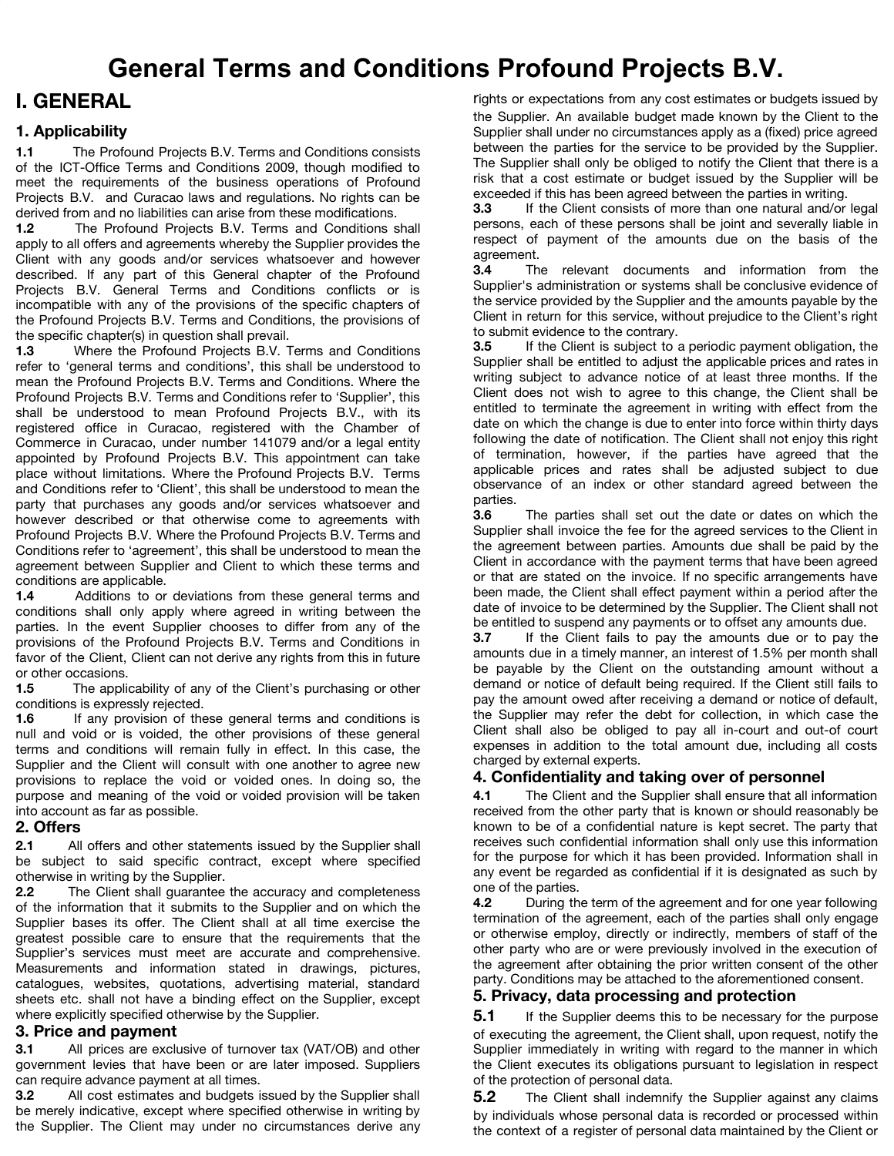# **I. GENERAL**

# **1. Applicability**

**1.1** The Profound Projects B.V. Terms and Conditions consists of the ICT-Office Terms and Conditions 2009, though modified to meet the requirements of the business operations of Profound Projects B.V. and Curacao laws and regulations. No rights can be derived from and no liabilities can arise from these modifications.

**1.2** The Profound Projects B.V. Terms and Conditions shall apply to all offers and agreements whereby the Supplier provides the Client with any goods and/or services whatsoever and however described. If any part of this General chapter of the Profound Projects B.V. General Terms and Conditions conflicts or is incompatible with any of the provisions of the specific chapters of the Profound Projects B.V. Terms and Conditions, the provisions of the specific chapter(s) in question shall prevail.

**1.3** Where the Profound Projects B.V. Terms and Conditions refer to 'general terms and conditions', this shall be understood to mean the Profound Projects B.V. Terms and Conditions. Where the Profound Projects B.V. Terms and Conditions refer to 'Supplier', this shall be understood to mean Profound Projects B.V., with its registered office in Curacao, registered with the Chamber of Commerce in Curacao, under number 141079 and/or a legal entity appointed by Profound Projects B.V. This appointment can take place without limitations. Where the Profound Projects B.V. Terms and Conditions refer to 'Client', this shall be understood to mean the party that purchases any goods and/or services whatsoever and however described or that otherwise come to agreements with Profound Projects B.V. Where the Profound Projects B.V. Terms and Conditions refer to 'agreement', this shall be understood to mean the agreement between Supplier and Client to which these terms and conditions are applicable.

**1.4** Additions to or deviations from these general terms and conditions shall only apply where agreed in writing between the parties. In the event Supplier chooses to differ from any of the provisions of the Profound Projects B.V. Terms and Conditions in favor of the Client, Client can not derive any rights from this in future or other occasions.

**1.5** The applicability of any of the Client's purchasing or other conditions is expressly rejected.<br>**1.6** If any provision of the

If any provision of these general terms and conditions is null and void or is voided, the other provisions of these general terms and conditions will remain fully in effect. In this case, the Supplier and the Client will consult with one another to agree new provisions to replace the void or voided ones. In doing so, the purpose and meaning of the void or voided provision will be taken into account as far as possible.

### **2. Offers**

**2.1** All offers and other statements issued by the Supplier shall be subject to said specific contract, except where specified otherwise in writing by the Supplier.

**2.2** The Client shall guarantee the accuracy and completeness of the information that it submits to the Supplier and on which the Supplier bases its offer. The Client shall at all time exercise the greatest possible care to ensure that the requirements that the Supplier's services must meet are accurate and comprehensive. Measurements and information stated in drawings, pictures, catalogues, websites, quotations, advertising material, standard sheets etc. shall not have a binding effect on the Supplier, except where explicitly specified otherwise by the Supplier.

### **3. Price and payment**

**3.1** All prices are exclusive of turnover tax (VAT/OB) and other government levies that have been or are later imposed. Suppliers can require advance payment at all times.

**3.2** All cost estimates and budgets issued by the Supplier shall be merely indicative, except where specified otherwise in writing by the Supplier. The Client may under no circumstances derive any rights or expectations from any cost estimates or budgets issued by the Supplier. An available budget made known by the Client to the Supplier shall under no circumstances apply as a (fixed) price agreed between the parties for the service to be provided by the Supplier. The Supplier shall only be obliged to notify the Client that there is a risk that a cost estimate or budget issued by the Supplier will be exceeded if this has been agreed between the parties in writing.

**3.3** If the Client consists of more than one natural and/or legal persons, each of these persons shall be joint and severally liable in respect of payment of the amounts due on the basis of the agreement.

**3.4** The relevant documents and information from the Supplier's administration or systems shall be conclusive evidence of the service provided by the Supplier and the amounts payable by the Client in return for this service, without prejudice to the Client's right to submit evidence to the contrary.

**3.5** If the Client is subject to a periodic payment obligation, the Supplier shall be entitled to adjust the applicable prices and rates in writing subject to advance notice of at least three months. If the Client does not wish to agree to this change, the Client shall be entitled to terminate the agreement in writing with effect from the date on which the change is due to enter into force within thirty days following the date of notification. The Client shall not enjoy this right of termination, however, if the parties have agreed that the applicable prices and rates shall be adjusted subject to due observance of an index or other standard agreed between the parties.

**3.6** The parties shall set out the date or dates on which the Supplier shall invoice the fee for the agreed services to the Client in the agreement between parties. Amounts due shall be paid by the Client in accordance with the payment terms that have been agreed or that are stated on the invoice. If no specific arrangements have been made, the Client shall effect payment within a period after the date of invoice to be determined by the Supplier. The Client shall not be entitled to suspend any payments or to offset any amounts due.

**3.7** If the Client fails to pay the amounts due or to pay the amounts due in a timely manner, an interest of 1.5% per month shall be payable by the Client on the outstanding amount without a demand or notice of default being required. If the Client still fails to pay the amount owed after receiving a demand or notice of default, the Supplier may refer the debt for collection, in which case the Client shall also be obliged to pay all in-court and out-of court expenses in addition to the total amount due, including all costs charged by external experts.

# **4. Confidentiality and taking over of personnel**

**4.1** The Client and the Supplier shall ensure that all information received from the other party that is known or should reasonably be known to be of a confidential nature is kept secret. The party that receives such confidential information shall only use this information for the purpose for which it has been provided. Information shall in any event be regarded as confidential if it is designated as such by one of the parties.

**4.2** During the term of the agreement and for one year following termination of the agreement, each of the parties shall only engage or otherwise employ, directly or indirectly, members of staff of the other party who are or were previously involved in the execution of the agreement after obtaining the prior written consent of the other party. Conditions may be attached to the aforementioned consent.

# **5. Privacy, data processing and protection**

**5.1** If the Supplier deems this to be necessary for the purpose of executing the agreement, the Client shall, upon request, notify the Supplier immediately in writing with regard to the manner in which the Client executes its obligations pursuant to legislation in respect of the protection of personal data.

**5.2** The Client shall indemnify the Supplier against any claims by individuals whose personal data is recorded or processed within the context of a register of personal data maintained by the Client or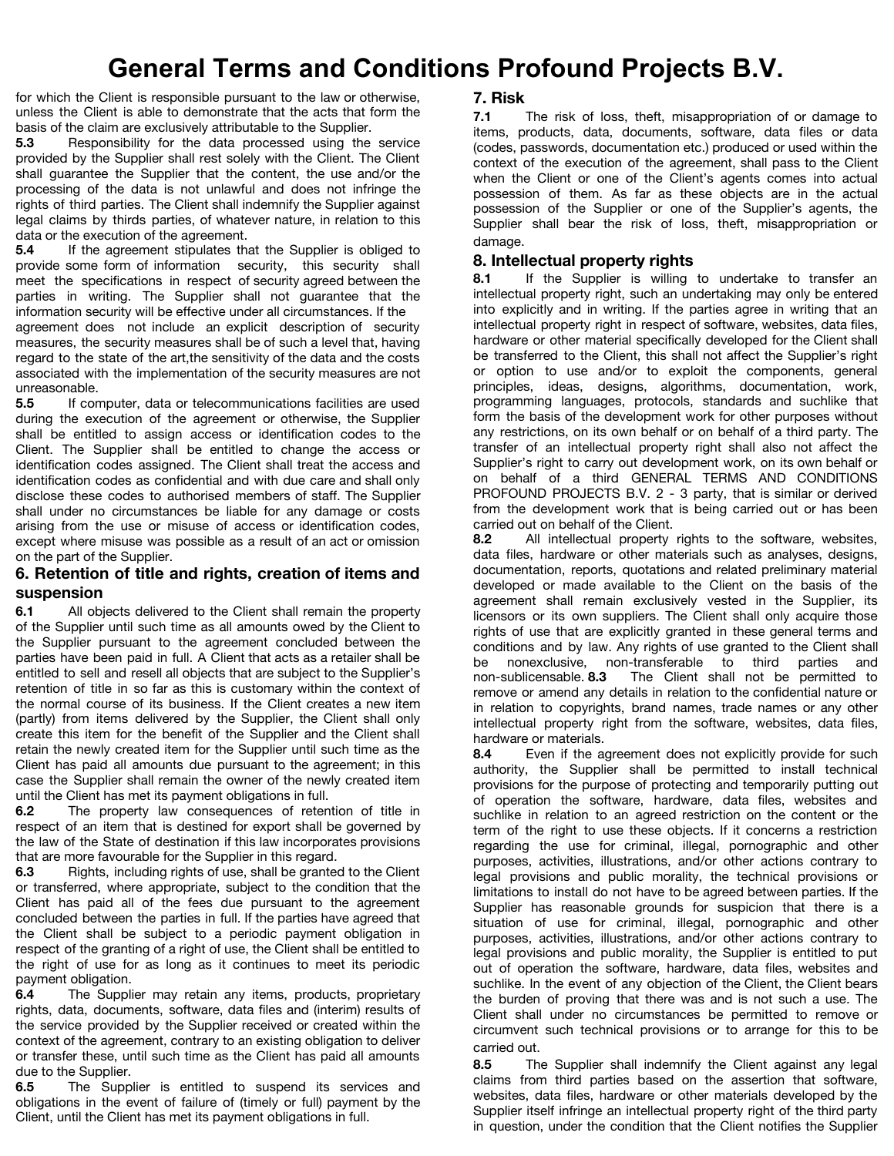for which the Client is responsible pursuant to the law or otherwise, unless the Client is able to demonstrate that the acts that form the basis of the claim are exclusively attributable to the Supplier.

**5.3** Responsibility for the data processed using the service provided by the Supplier shall rest solely with the Client. The Client shall guarantee the Supplier that the content, the use and/or the processing of the data is not unlawful and does not infringe the rights of third parties. The Client shall indemnify the Supplier against legal claims by thirds parties, of whatever nature, in relation to this data or the execution of the agreement.

**5.4** If the agreement stipulates that the Supplier is obliged to provide some form of information security, this security shall meet the specifications in respect of security agreed between the parties in writing. The Supplier shall not guarantee that the information security will be effective under all circumstances. If the

agreement does not include an explicit description of security measures, the security measures shall be of such a level that, having regard to the state of the art,the sensitivity of the data and the costs associated with the implementation of the security measures are not unreasonable.

**5.5** If computer, data or telecommunications facilities are used during the execution of the agreement or otherwise, the Supplier shall be entitled to assign access or identification codes to the Client. The Supplier shall be entitled to change the access or identification codes assigned. The Client shall treat the access and identification codes as confidential and with due care and shall only disclose these codes to authorised members of staff. The Supplier shall under no circumstances be liable for any damage or costs arising from the use or misuse of access or identification codes, except where misuse was possible as a result of an act or omission on the part of the Supplier.

#### **6. Retention of title and rights, creation of items and suspension**

**6.1** All objects delivered to the Client shall remain the property of the Supplier until such time as all amounts owed by the Client to the Supplier pursuant to the agreement concluded between the parties have been paid in full. A Client that acts as a retailer shall be entitled to sell and resell all objects that are subject to the Supplier's retention of title in so far as this is customary within the context of the normal course of its business. If the Client creates a new item (partly) from items delivered by the Supplier, the Client shall only create this item for the benefit of the Supplier and the Client shall retain the newly created item for the Supplier until such time as the Client has paid all amounts due pursuant to the agreement; in this case the Supplier shall remain the owner of the newly created item until the Client has met its payment obligations in full.

**6.2** The property law consequences of retention of title in respect of an item that is destined for export shall be governed by the law of the State of destination if this law incorporates provisions that are more favourable for the Supplier in this regard.

**6.3** Rights, including rights of use, shall be granted to the Client or transferred, where appropriate, subject to the condition that the Client has paid all of the fees due pursuant to the agreement concluded between the parties in full. If the parties have agreed that the Client shall be subject to a periodic payment obligation in respect of the granting of a right of use, the Client shall be entitled to the right of use for as long as it continues to meet its periodic payment obligation.

**6.4** The Supplier may retain any items, products, proprietary rights, data, documents, software, data files and (interim) results of the service provided by the Supplier received or created within the context of the agreement, contrary to an existing obligation to deliver or transfer these, until such time as the Client has paid all amounts due to the Supplier.

**6.5** The Supplier is entitled to suspend its services and obligations in the event of failure of (timely or full) payment by the Client, until the Client has met its payment obligations in full.

# **7. Risk**

**7.1** The risk of loss, theft, misappropriation of or damage to items, products, data, documents, software, data files or data (codes, passwords, documentation etc.) produced or used within the context of the execution of the agreement, shall pass to the Client when the Client or one of the Client's agents comes into actual possession of them. As far as these objects are in the actual possession of the Supplier or one of the Supplier's agents, the Supplier shall bear the risk of loss, theft, misappropriation or damage.

# **8. Intellectual property rights**

**8.1** If the Supplier is willing to undertake to transfer an intellectual property right, such an undertaking may only be entered into explicitly and in writing. If the parties agree in writing that an intellectual property right in respect of software, websites, data files, hardware or other material specifically developed for the Client shall be transferred to the Client, this shall not affect the Supplier's right or option to use and/or to exploit the components, general principles, ideas, designs, algorithms, documentation, work, programming languages, protocols, standards and suchlike that form the basis of the development work for other purposes without any restrictions, on its own behalf or on behalf of a third party. The transfer of an intellectual property right shall also not affect the Supplier's right to carry out development work, on its own behalf or on behalf of a third GENERAL TERMS AND CONDITIONS PROFOUND PROJECTS B.V. 2 - 3 party, that is similar or derived from the development work that is being carried out or has been carried out on behalf of the Client.

**8.2** All intellectual property rights to the software, websites, data files, hardware or other materials such as analyses, designs, documentation, reports, quotations and related preliminary material developed or made available to the Client on the basis of the agreement shall remain exclusively vested in the Supplier, its licensors or its own suppliers. The Client shall only acquire those rights of use that are explicitly granted in these general terms and conditions and by law. Any rights of use granted to the Client shall be nonexclusive, non-transferable to third parties and non-sublicensable. **8.3** The Client shall not be permitted to remove or amend any details in relation to the confidential nature or in relation to copyrights, brand names, trade names or any other intellectual property right from the software, websites, data files, hardware or materials.

**8.4** Even if the agreement does not explicitly provide for such authority, the Supplier shall be permitted to install technical provisions for the purpose of protecting and temporarily putting out of operation the software, hardware, data files, websites and suchlike in relation to an agreed restriction on the content or the term of the right to use these objects. If it concerns a restriction regarding the use for criminal, illegal, pornographic and other purposes, activities, illustrations, and/or other actions contrary to legal provisions and public morality, the technical provisions or limitations to install do not have to be agreed between parties. If the Supplier has reasonable grounds for suspicion that there is a situation of use for criminal, illegal, pornographic and other purposes, activities, illustrations, and/or other actions contrary to legal provisions and public morality, the Supplier is entitled to put out of operation the software, hardware, data files, websites and suchlike. In the event of any objection of the Client, the Client bears the burden of proving that there was and is not such a use. The Client shall under no circumstances be permitted to remove or circumvent such technical provisions or to arrange for this to be carried out.

**8.5** The Supplier shall indemnify the Client against any legal claims from third parties based on the assertion that software, websites, data files, hardware or other materials developed by the Supplier itself infringe an intellectual property right of the third party in question, under the condition that the Client notifies the Supplier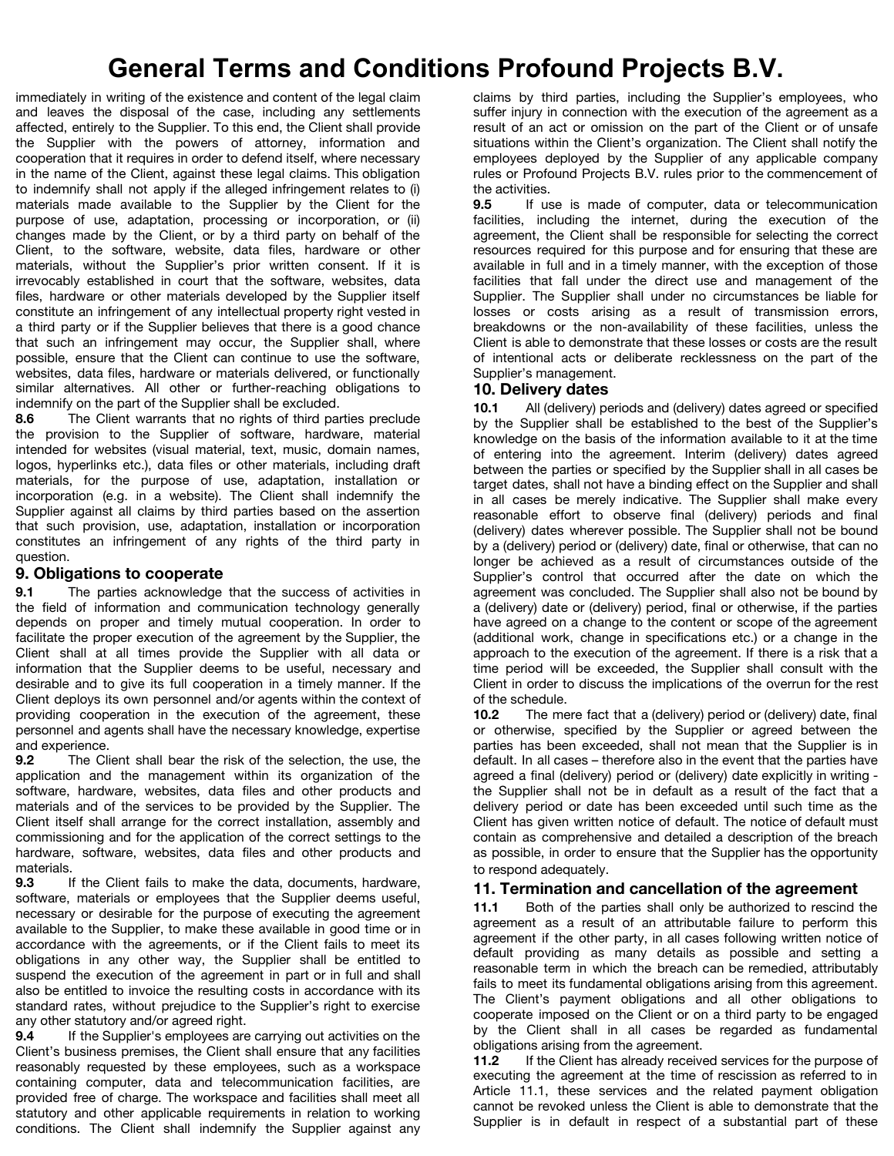immediately in writing of the existence and content of the legal claim and leaves the disposal of the case, including any settlements affected, entirely to the Supplier. To this end, the Client shall provide the Supplier with the powers of attorney, information and cooperation that it requires in order to defend itself, where necessary in the name of the Client, against these legal claims. This obligation to indemnify shall not apply if the alleged infringement relates to (i) materials made available to the Supplier by the Client for the purpose of use, adaptation, processing or incorporation, or (ii) changes made by the Client, or by a third party on behalf of the Client, to the software, website, data files, hardware or other materials, without the Supplier's prior written consent. If it is irrevocably established in court that the software, websites, data files, hardware or other materials developed by the Supplier itself constitute an infringement of any intellectual property right vested in a third party or if the Supplier believes that there is a good chance that such an infringement may occur, the Supplier shall, where possible, ensure that the Client can continue to use the software, websites, data files, hardware or materials delivered, or functionally similar alternatives. All other or further-reaching obligations to indemnify on the part of the Supplier shall be excluded.

**8.6** The Client warrants that no rights of third parties preclude the provision to the Supplier of software, hardware, material intended for websites (visual material, text, music, domain names, logos, hyperlinks etc.), data files or other materials, including draft materials, for the purpose of use, adaptation, installation or incorporation (e.g. in a website). The Client shall indemnify the Supplier against all claims by third parties based on the assertion that such provision, use, adaptation, installation or incorporation constitutes an infringement of any rights of the third party in question.

#### **9. Obligations to cooperate**

**9.1** The parties acknowledge that the success of activities in the field of information and communication technology generally depends on proper and timely mutual cooperation. In order to facilitate the proper execution of the agreement by the Supplier, the Client shall at all times provide the Supplier with all data or information that the Supplier deems to be useful, necessary and desirable and to give its full cooperation in a timely manner. If the Client deploys its own personnel and/or agents within the context of providing cooperation in the execution of the agreement, these personnel and agents shall have the necessary knowledge, expertise and experience.

**9.2** The Client shall bear the risk of the selection, the use, the application and the management within its organization of the software, hardware, websites, data files and other products and materials and of the services to be provided by the Supplier. The Client itself shall arrange for the correct installation, assembly and commissioning and for the application of the correct settings to the hardware, software, websites, data files and other products and materials.

**9.3** If the Client fails to make the data, documents, hardware, software, materials or employees that the Supplier deems useful, necessary or desirable for the purpose of executing the agreement available to the Supplier, to make these available in good time or in accordance with the agreements, or if the Client fails to meet its obligations in any other way, the Supplier shall be entitled to suspend the execution of the agreement in part or in full and shall also be entitled to invoice the resulting costs in accordance with its standard rates, without prejudice to the Supplier's right to exercise any other statutory and/or agreed right.

**9.4** If the Supplier's employees are carrying out activities on the Client's business premises, the Client shall ensure that any facilities reasonably requested by these employees, such as a workspace containing computer, data and telecommunication facilities, are provided free of charge. The workspace and facilities shall meet all statutory and other applicable requirements in relation to working conditions. The Client shall indemnify the Supplier against any claims by third parties, including the Supplier's employees, who suffer injury in connection with the execution of the agreement as a result of an act or omission on the part of the Client or of unsafe situations within the Client's organization. The Client shall notify the employees deployed by the Supplier of any applicable company rules or Profound Projects B.V. rules prior to the commencement of the activities.

**9.5** If use is made of computer, data or telecommunication facilities, including the internet, during the execution of the agreement, the Client shall be responsible for selecting the correct resources required for this purpose and for ensuring that these are available in full and in a timely manner, with the exception of those facilities that fall under the direct use and management of the Supplier. The Supplier shall under no circumstances be liable for losses or costs arising as a result of transmission errors, breakdowns or the non-availability of these facilities, unless the Client is able to demonstrate that these losses or costs are the result of intentional acts or deliberate recklessness on the part of the Supplier's management.

### **10. Delivery dates**

**10.1** All (delivery) periods and (delivery) dates agreed or specified by the Supplier shall be established to the best of the Supplier's knowledge on the basis of the information available to it at the time of entering into the agreement. Interim (delivery) dates agreed between the parties or specified by the Supplier shall in all cases be target dates, shall not have a binding effect on the Supplier and shall in all cases be merely indicative. The Supplier shall make every reasonable effort to observe final (delivery) periods and final (delivery) dates wherever possible. The Supplier shall not be bound by a (delivery) period or (delivery) date, final or otherwise, that can no longer be achieved as a result of circumstances outside of the Supplier's control that occurred after the date on which the agreement was concluded. The Supplier shall also not be bound by a (delivery) date or (delivery) period, final or otherwise, if the parties have agreed on a change to the content or scope of the agreement (additional work, change in specifications etc.) or a change in the approach to the execution of the agreement. If there is a risk that a time period will be exceeded, the Supplier shall consult with the Client in order to discuss the implications of the overrun for the rest of the schedule.

**10.2** The mere fact that a (delivery) period or (delivery) date, final or otherwise, specified by the Supplier or agreed between the parties has been exceeded, shall not mean that the Supplier is in default. In all cases – therefore also in the event that the parties have agreed a final (delivery) period or (delivery) date explicitly in writing the Supplier shall not be in default as a result of the fact that a delivery period or date has been exceeded until such time as the Client has given written notice of default. The notice of default must contain as comprehensive and detailed a description of the breach as possible, in order to ensure that the Supplier has the opportunity to respond adequately.

#### **11. Termination and cancellation of the agreement**

**11.1** Both of the parties shall only be authorized to rescind the agreement as a result of an attributable failure to perform this agreement if the other party, in all cases following written notice of default providing as many details as possible and setting a reasonable term in which the breach can be remedied, attributably fails to meet its fundamental obligations arising from this agreement. The Client's payment obligations and all other obligations to cooperate imposed on the Client or on a third party to be engaged by the Client shall in all cases be regarded as fundamental obligations arising from the agreement.

**11.2** If the Client has already received services for the purpose of executing the agreement at the time of rescission as referred to in Article 11.1, these services and the related payment obligation cannot be revoked unless the Client is able to demonstrate that the Supplier is in default in respect of a substantial part of these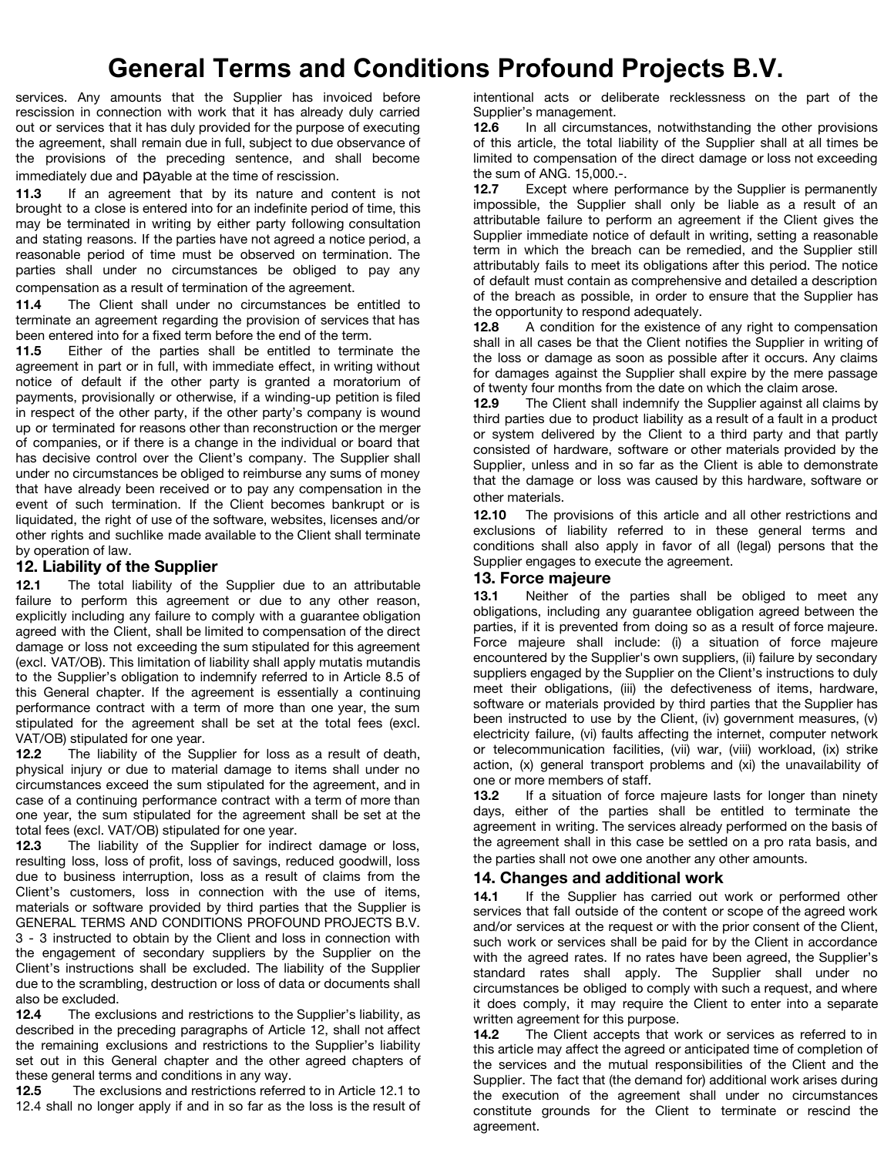services. Any amounts that the Supplier has invoiced before rescission in connection with work that it has already duly carried out or services that it has duly provided for the purpose of executing the agreement, shall remain due in full, subject to due observance of the provisions of the preceding sentence, and shall become immediately due and payable at the time of rescission.

**11.3** If an agreement that by its nature and content is not brought to a close is entered into for an indefinite period of time, this may be terminated in writing by either party following consultation and stating reasons. If the parties have not agreed a notice period, a reasonable period of time must be observed on termination. The parties shall under no circumstances be obliged to pay any compensation as a result of termination of the agreement.

**11.4** The Client shall under no circumstances be entitled to terminate an agreement regarding the provision of services that has been entered into for a fixed term before the end of the term.

**11.5** Either of the parties shall be entitled to terminate the agreement in part or in full, with immediate effect, in writing without notice of default if the other party is granted a moratorium of payments, provisionally or otherwise, if a winding-up petition is filed in respect of the other party, if the other party's company is wound up or terminated for reasons other than reconstruction or the merger of companies, or if there is a change in the individual or board that has decisive control over the Client's company. The Supplier shall under no circumstances be obliged to reimburse any sums of money that have already been received or to pay any compensation in the event of such termination. If the Client becomes bankrupt or is liquidated, the right of use of the software, websites, licenses and/or other rights and suchlike made available to the Client shall terminate by operation of law.

### **12. Liability of the Supplier**

**12.1** The total liability of the Supplier due to an attributable failure to perform this agreement or due to any other reason, explicitly including any failure to comply with a guarantee obligation agreed with the Client, shall be limited to compensation of the direct damage or loss not exceeding the sum stipulated for this agreement (excl. VAT/OB). This limitation of liability shall apply mutatis mutandis to the Supplier's obligation to indemnify referred to in Article 8.5 of this General chapter. If the agreement is essentially a continuing performance contract with a term of more than one year, the sum stipulated for the agreement shall be set at the total fees (excl. VAT/OB) stipulated for one year.

**12.2** The liability of the Supplier for loss as a result of death, physical injury or due to material damage to items shall under no circumstances exceed the sum stipulated for the agreement, and in case of a continuing performance contract with a term of more than one year, the sum stipulated for the agreement shall be set at the total fees (excl. VAT/OB) stipulated for one year.

**12.3** The liability of the Supplier for indirect damage or loss, resulting loss, loss of profit, loss of savings, reduced goodwill, loss due to business interruption, loss as a result of claims from the Client's customers, loss in connection with the use of items, materials or software provided by third parties that the Supplier is GENERAL TERMS AND CONDITIONS PROFOUND PROJECTS B.V. 3 - 3 instructed to obtain by the Client and loss in connection with the engagement of secondary suppliers by the Supplier on the Client's instructions shall be excluded. The liability of the Supplier due to the scrambling, destruction or loss of data or documents shall also be excluded.

**12.4** The exclusions and restrictions to the Supplier's liability, as described in the preceding paragraphs of Article 12, shall not affect the remaining exclusions and restrictions to the Supplier's liability set out in this General chapter and the other agreed chapters of these general terms and conditions in any way.

**12.5** The exclusions and restrictions referred to in Article 12.1 to 12.4 shall no longer apply if and in so far as the loss is the result of intentional acts or deliberate recklessness on the part of the Supplier's management.

**12.6** In all circumstances, notwithstanding the other provisions of this article, the total liability of the Supplier shall at all times be limited to compensation of the direct damage or loss not exceeding the sum of ANG. 15,000.-.

**12.7** Except where performance by the Supplier is permanently impossible, the Supplier shall only be liable as a result of an attributable failure to perform an agreement if the Client gives the Supplier immediate notice of default in writing, setting a reasonable term in which the breach can be remedied, and the Supplier still attributably fails to meet its obligations after this period. The notice of default must contain as comprehensive and detailed a description of the breach as possible, in order to ensure that the Supplier has the opportunity to respond adequately.

**12.8** A condition for the existence of any right to compensation shall in all cases be that the Client notifies the Supplier in writing of the loss or damage as soon as possible after it occurs. Any claims for damages against the Supplier shall expire by the mere passage of twenty four months from the date on which the claim arose.

**12.9** The Client shall indemnify the Supplier against all claims by third parties due to product liability as a result of a fault in a product or system delivered by the Client to a third party and that partly consisted of hardware, software or other materials provided by the Supplier, unless and in so far as the Client is able to demonstrate that the damage or loss was caused by this hardware, software or other materials.

**12.10** The provisions of this article and all other restrictions and exclusions of liability referred to in these general terms and conditions shall also apply in favor of all (legal) persons that the Supplier engages to execute the agreement.

#### **13. Force majeure**

**13.1** Neither of the parties shall be obliged to meet any obligations, including any guarantee obligation agreed between the parties, if it is prevented from doing so as a result of force majeure. Force majeure shall include: (i) a situation of force majeure encountered by the Supplier's own suppliers, (ii) failure by secondary suppliers engaged by the Supplier on the Client's instructions to duly meet their obligations, (iii) the defectiveness of items, hardware, software or materials provided by third parties that the Supplier has been instructed to use by the Client, (iv) government measures, (v) electricity failure, (vi) faults affecting the internet, computer network or telecommunication facilities, (vii) war, (viii) workload, (ix) strike action, (x) general transport problems and (xi) the unavailability of one or more members of staff.

**13.2** If a situation of force majeure lasts for longer than ninety days, either of the parties shall be entitled to terminate the agreement in writing. The services already performed on the basis of the agreement shall in this case be settled on a pro rata basis, and the parties shall not owe one another any other amounts.

### **14. Changes and additional work**

14.1 If the Supplier has carried out work or performed other services that fall outside of the content or scope of the agreed work and/or services at the request or with the prior consent of the Client, such work or services shall be paid for by the Client in accordance with the agreed rates. If no rates have been agreed, the Supplier's standard rates shall apply. The Supplier shall under no circumstances be obliged to comply with such a request, and where it does comply, it may require the Client to enter into a separate written agreement for this purpose.

**14.2** The Client accepts that work or services as referred to in this article may affect the agreed or anticipated time of completion of the services and the mutual responsibilities of the Client and the Supplier. The fact that (the demand for) additional work arises during the execution of the agreement shall under no circumstances constitute grounds for the Client to terminate or rescind the agreement.